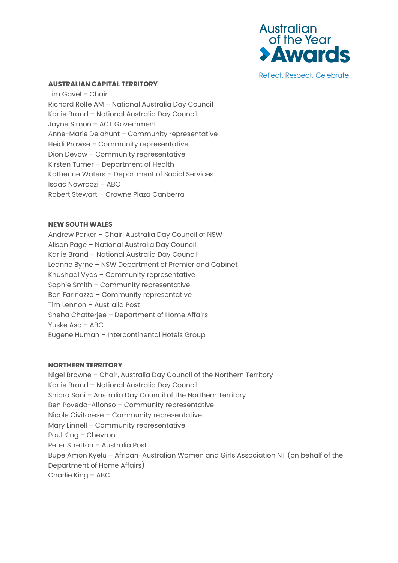

Reflect. Respect. Celebrate.

# **AUSTRALIAN CAPITAL TERRITORY**

Tim Gavel – Chair Richard Rolfe AM – National Australia Day Council Karlie Brand – National Australia Day Council Jayne Simon – ACT Government Anne-Marie Delahunt – Community representative Heidi Prowse – Community representative Dion Devow – Community representative Kirsten Turner – Department of Health Katherine Waters – Department of Social Services Isaac Nowroozi – ABC Robert Stewart – Crowne Plaza Canberra

# **NEW SOUTH WALES**

Andrew Parker – Chair, Australia Day Council of NSW Alison Page – National Australia Day Council Karlie Brand – National Australia Day Council Leanne Byrne – NSW Department of Premier and Cabinet Khushaal Vyas – Community representative Sophie Smith – Community representative Ben Farinazzo – Community representative Tim Lennon – Australia Post Sneha Chatterjee – Department of Home Affairs Yuske Aso – ABC Eugene Human – Intercontinental Hotels Group

#### **NORTHERN TERRITORY**

Nigel Browne – Chair, Australia Day Council of the Northern Territory Karlie Brand – National Australia Day Council Shipra Soni – Australia Day Council of the Northern Territory Ben Poveda-Alfonso – Community representative Nicole Civitarese – Community representative Mary Linnell – Community representative Paul King – Chevron Peter Stretton – Australia Post Bupe Amon Kyelu – African-Australian Women and Girls Association NT (on behalf of the Department of Home Affairs) Charlie King – ABC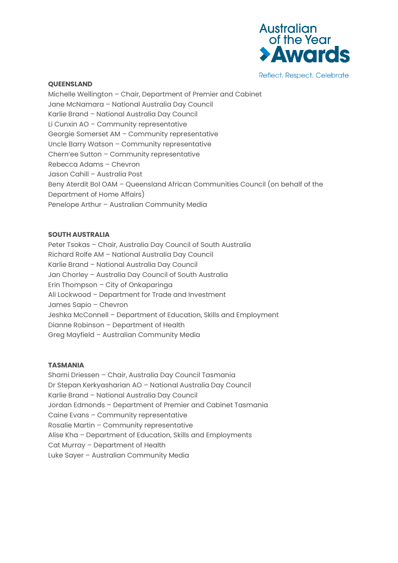

Reflect. Respect. Celebrate.

### **QUEENSLAND**

Michelle Wellington – Chair, Department of Premier and Cabinet Jane McNamara – National Australia Day Council Karlie Brand – National Australia Day Council Li Cunxin AO – Community representative Georgie Somerset AM – Community representative Uncle Barry Watson – Community representative Chern'ee Sutton – Community representative Rebecca Adams – Chevron Jason Cahill – Australia Post Beny Aterdit Bol OAM – Queensland African Communities Council (on behalf of the Department of Home Affairs) Penelope Arthur – Australian Community Media

# **SOUTH AUSTRALIA**

Peter Tsokas – Chair, Australia Day Council of South Australia Richard Rolfe AM – National Australia Day Council Karlie Brand – National Australia Day Council Jan Chorley – Australia Day Council of South Australia Erin Thompson – City of Onkaparinga Ali Lockwood – Department for Trade and Investment James Sapio – Chevron Jeshka McConnell – Department of Education, Skills and Employment Dianne Robinson – Department of Health Greg Mayfield – Australian Community Media

# **TASMANIA**

Sharni Driessen – Chair, Australia Day Council Tasmania Dr Stepan Kerkyasharian AO – National Australia Day Council Karlie Brand – National Australia Day Council Jordan Edmonds – Department of Premier and Cabinet Tasmania Caine Evans – Community representative Rosalie Martin – Community representative Alise Kha – Department of Education, Skills and Employments Cat Murray – Department of Health Luke Sayer – Australian Community Media